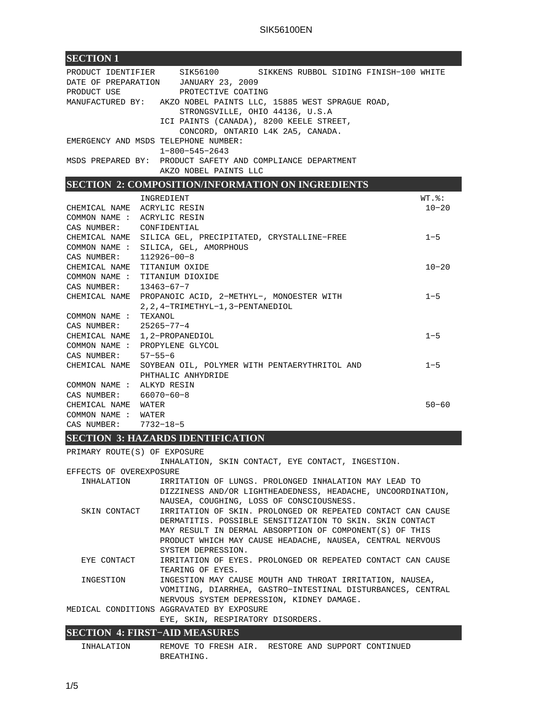| <b>SECTION 1</b>                                                                                                           |                                                                                                                                                                                                                                                                                                                                                                 |                                    |
|----------------------------------------------------------------------------------------------------------------------------|-----------------------------------------------------------------------------------------------------------------------------------------------------------------------------------------------------------------------------------------------------------------------------------------------------------------------------------------------------------------|------------------------------------|
| PRODUCT USE                                                                                                                | PRODUCT IDENTIFIER SIK56100 SIKKENS RUBBOL SIDING FINISH-100 WHITE<br>DATE OF PREPARATION JANUARY 23, 2009<br>PROTECTIVE COATING<br>MANUFACTURED BY: AKZO NOBEL PAINTS LLC, 15885 WEST SPRAGUE ROAD,<br>STRONGSVILLE, OHIO 44136, U.S.A<br>ICI PAINTS (CANADA), 8200 KEELE STREET,<br>CONCORD, ONTARIO L4K 2A5, CANADA.<br>EMERGENCY AND MSDS TELEPHONE NUMBER: |                                    |
|                                                                                                                            | $1 - 800 - 545 - 2643$                                                                                                                                                                                                                                                                                                                                          |                                    |
|                                                                                                                            | MSDS PREPARED BY: PRODUCT SAFETY AND COMPLIANCE DEPARTMENT<br>AKZO NOBEL PAINTS LLC                                                                                                                                                                                                                                                                             |                                    |
|                                                                                                                            | <b>SECTION 2: COMPOSITION/INFORMATION ON INGREDIENTS</b>                                                                                                                                                                                                                                                                                                        |                                    |
| CHEMICAL NAME ACRYLIC RESIN<br>COMMON NAME : ACRYLIC RESIN<br>CAS NUMBER: CONFIDENTIAL                                     | INGREDIENT                                                                                                                                                                                                                                                                                                                                                      | $WT.$ $\frac{1}{6}$ :<br>$10 - 20$ |
| CAS NUMBER: 112926-00-8                                                                                                    | CHEMICAL NAME SILICA GEL, PRECIPITATED, CRYSTALLINE-FREE<br>COMMON NAME : SILICA, GEL, AMORPHOUS                                                                                                                                                                                                                                                                | $1 - 5$                            |
| CHEMICAL NAME TITANIUM OXIDE<br>CAS NUMBER: 13463-67-7                                                                     | COMMON NAME : TITANIUM DIOXIDE                                                                                                                                                                                                                                                                                                                                  | $10 - 20$                          |
| COMMON NAME : TEXANOL                                                                                                      | CHEMICAL NAME PROPANOIC ACID, 2-METHYL-, MONOESTER WITH<br>2, 2, 4-TRIMETHYL-1, 3-PENTANEDIOL                                                                                                                                                                                                                                                                   | $1 - 5$                            |
| CAS NUMBER: 25265-77-4                                                                                                     | CHEMICAL NAME 1, 2-PROPANEDIOL<br>COMMON NAME : PROPYLENE GLYCOL                                                                                                                                                                                                                                                                                                | $1 - 5$                            |
| CAS NUMBER: 57-55-6                                                                                                        | CHEMICAL NAME SOYBEAN OIL, POLYMER WITH PENTAERYTHRITOL AND<br>PHTHALIC ANHYDRIDE                                                                                                                                                                                                                                                                               | $1 - 5$                            |
| COMMON NAME : ALKYD RESIN<br>CAS NUMBER: 66070-60-8<br>CHEMICAL NAME WATER<br>COMMON NAME : WATER<br>CAS NUMBER: 7732-18-5 |                                                                                                                                                                                                                                                                                                                                                                 | $50 - 60$                          |

# **SECTION 3: HAZARDS IDENTIFICATION**

| PRIMARY ROUTE(S) OF EXPOSURE              | INHALATION, SKIN CONTACT, EYE CONTACT, INGESTION.           |  |  |  |  |
|-------------------------------------------|-------------------------------------------------------------|--|--|--|--|
| EFFECTS OF OVEREXPOSURE                   |                                                             |  |  |  |  |
| INHALATION                                | IRRITATION OF LUNGS. PROLONGED INHALATION MAY LEAD TO       |  |  |  |  |
|                                           | DIZZINESS AND/OR LIGHTHEADEDNESS, HEADACHE, UNCOORDINATION, |  |  |  |  |
|                                           | NAUSEA, COUGHING, LOSS OF CONSCIOUSNESS.                    |  |  |  |  |
| SKIN CONTACT                              | IRRITATION OF SKIN. PROLONGED OR REPEATED CONTACT CAN CAUSE |  |  |  |  |
|                                           | DERMATITIS. POSSIBLE SENSITIZATION TO SKIN. SKIN CONTACT    |  |  |  |  |
|                                           | MAY RESULT IN DERMAL ABSORPTION OF COMPONENT(S) OF THIS     |  |  |  |  |
|                                           | PRODUCT WHICH MAY CAUSE HEADACHE, NAUSEA, CENTRAL NERVOUS   |  |  |  |  |
|                                           | SYSTEM DEPRESSION.                                          |  |  |  |  |
| EYE CONTACT                               | IRRITATION OF EYES. PROLONGED OR REPEATED CONTACT CAN CAUSE |  |  |  |  |
|                                           | TEARING OF EYES.                                            |  |  |  |  |
| INGESTION                                 | INGESTION MAY CAUSE MOUTH AND THROAT IRRITATION, NAUSEA,    |  |  |  |  |
|                                           | VOMITING, DIARRHEA, GASTRO-INTESTINAL DISTURBANCES, CENTRAL |  |  |  |  |
|                                           | NERVOUS SYSTEM DEPRESSION, KIDNEY DAMAGE.                   |  |  |  |  |
| MEDICAL CONDITIONS AGGRAVATED BY EXPOSURE |                                                             |  |  |  |  |
|                                           | EYE, SKIN, RESPIRATORY DISORDERS.                           |  |  |  |  |
| <b>SECTION 4. FIRST_AID MEASHRES</b>      |                                                             |  |  |  |  |

### **SECTION 4: FIRST−AID MEASURES**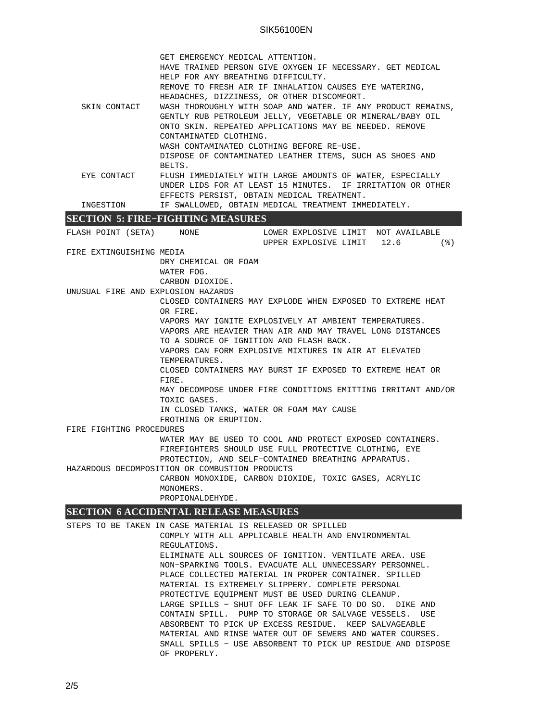### SIK56100EN

|                                                           | GET EMERGENCY MEDICAL ATTENTION.                             |  |  |  |
|-----------------------------------------------------------|--------------------------------------------------------------|--|--|--|
|                                                           | HAVE TRAINED PERSON GIVE OXYGEN IF NECESSARY. GET MEDICAL    |  |  |  |
|                                                           | HELP FOR ANY BREATHING DIFFICULTY.                           |  |  |  |
|                                                           | REMOVE TO FRESH AIR IF INHALATION CAUSES EYE WATERING,       |  |  |  |
|                                                           | HEADACHES, DIZZINESS, OR OTHER DISCOMFORT.                   |  |  |  |
| SKIN CONTACT                                              | WASH THOROUGHLY WITH SOAP AND WATER. IF ANY PRODUCT REMAINS, |  |  |  |
| GENTLY RUB PETROLEUM JELLY, VEGETABLE OR MINERAL/BABY OIL |                                                              |  |  |  |
|                                                           | ONTO SKIN. REPEATED APPLICATIONS MAY BE NEEDED. REMOVE       |  |  |  |
|                                                           | CONTAMINATED CLOTHING.                                       |  |  |  |
|                                                           | WASH CONTAMINATED CLOTHING BEFORE RE-USE.                    |  |  |  |
|                                                           | DISPOSE OF CONTAMINATED LEATHER ITEMS, SUCH AS SHOES AND     |  |  |  |
|                                                           | BELTS.                                                       |  |  |  |
| EYE CONTACT                                               | FLUSH IMMEDIATELY WITH LARGE AMOUNTS OF WATER, ESPECIALLY    |  |  |  |
|                                                           | UNDER LIDS FOR AT LEAST 15 MINUTES. IF IRRITATION OR OTHER   |  |  |  |
|                                                           | EFFECTS PERSIST, OBTAIN MEDICAL TREATMENT.                   |  |  |  |
| INGESTION                                                 | IF SWALLOWED, OBTAIN MEDICAL TREATMENT IMMEDIATELY.          |  |  |  |
| $C = C$<br>THEN THE OUTERWITH THE LOTTEN TO               |                                                              |  |  |  |

#### **SECTION 5: FIRE−FIGHTING MEASURES**

FLASH POINT (SETA) MONE LOWER EXPLOSIVE LIMIT NOT AVAILABLE UPPER EXPLOSIVE LIMIT 12.6 (%) FIRE EXTINGUISHING MEDIA DRY CHEMICAL OR FOAM WATER FOG. CARBON DIOXIDE. UNUSUAL FIRE AND EXPLOSION HAZARDS CLOSED CONTAINERS MAY EXPLODE WHEN EXPOSED TO EXTREME HEAT OR FIRE. VAPORS MAY IGNITE EXPLOSIVELY AT AMBIENT TEMPERATURES. VAPORS ARE HEAVIER THAN AIR AND MAY TRAVEL LONG DISTANCES TO A SOURCE OF IGNITION AND FLASH BACK. VAPORS CAN FORM EXPLOSIVE MIXTURES IN AIR AT ELEVATED TEMPERATURES. CLOSED CONTAINERS MAY BURST IF EXPOSED TO EXTREME HEAT OR FIRE. MAY DECOMPOSE UNDER FIRE CONDITIONS EMITTING IRRITANT AND/OR TOXIC GASES. IN CLOSED TANKS, WATER OR FOAM MAY CAUSE FROTHING OR ERUPTION. FIRE FIGHTING PROCEDURES WATER MAY BE USED TO COOL AND PROTECT EXPOSED CONTAINERS. FIREFIGHTERS SHOULD USE FULL PROTECTIVE CLOTHING, EYE PROTECTION, AND SELF−CONTAINED BREATHING APPARATUS. HAZARDOUS DECOMPOSITION OR COMBUSTION PRODUCTS CARBON MONOXIDE, CARBON DIOXIDE, TOXIC GASES, ACRYLIC MONOMERS. PROPIONALDEHYDE.

## **SECTION 6 ACCIDENTAL RELEASE MEASURES**

STEPS TO BE TAKEN IN CASE MATERIAL IS RELEASED OR SPILLED COMPLY WITH ALL APPLICABLE HEALTH AND ENVIRONMENTAL REGULATIONS. ELIMINATE ALL SOURCES OF IGNITION. VENTILATE AREA. USE NON−SPARKING TOOLS. EVACUATE ALL UNNECESSARY PERSONNEL. PLACE COLLECTED MATERIAL IN PROPER CONTAINER. SPILLED MATERIAL IS EXTREMELY SLIPPERY. COMPLETE PERSONAL PROTECTIVE EQUIPMENT MUST BE USED DURING CLEANUP. LARGE SPILLS − SHUT OFF LEAK IF SAFE TO DO SO. DIKE AND CONTAIN SPILL. PUMP TO STORAGE OR SALVAGE VESSELS. USE ABSORBENT TO PICK UP EXCESS RESIDUE. KEEP SALVAGEABLE MATERIAL AND RINSE WATER OUT OF SEWERS AND WATER COURSES. SMALL SPILLS − USE ABSORBENT TO PICK UP RESIDUE AND DISPOSE OF PROPERLY.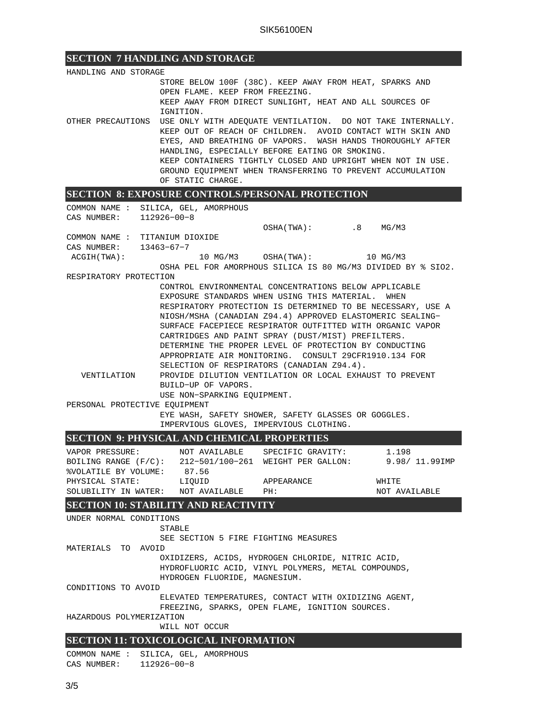# **SECTION 7 HANDLING AND STORAGE**

| STORE BELOW 100F (38C). KEEP AWAY FROM HEAT, SPARKS AND<br>OPEN FLAME. KEEP FROM FREEZING.<br>KEEP AWAY FROM DIRECT SUNLIGHT, HEAT AND ALL SOURCES OF<br>IGNITION.<br>USE ONLY WITH ADEQUATE VENTILATION. DO NOT TAKE INTERNALLY.<br>KEEP OUT OF REACH OF CHILDREN. AVOID CONTACT WITH SKIN AND<br>EYES, AND BREATHING OF VAPORS. WASH HANDS THOROUGHLY AFTER<br>HANDLING, ESPECIALLY BEFORE EATING OR SMOKING.<br>KEEP CONTAINERS TIGHTLY CLOSED AND UPRIGHT WHEN NOT IN USE.<br>GROUND EQUIPMENT WHEN TRANSFERRING TO PREVENT ACCUMULATION<br>OF STATIC CHARGE.<br><b>SECTION 8: EXPOSURE CONTROLS/PERSONAL PROTECTION</b><br>COMMON NAME : SILICA, GEL, AMORPHOUS<br>CAS NUMBER:<br>112926-00-8<br>OSHA(TWA): .8 MG/M3<br>COMMON NAME : TITANIUM DIOXIDE<br>CAS NUMBER: 13463-67-7<br>ACGIH(TWA):<br>OSHA PEL FOR AMORPHOUS SILICA IS 80 MG/M3 DIVIDED BY % SIO2.<br>RESPIRATORY PROTECTION<br>CONTROL ENVIRONMENTAL CONCENTRATIONS BELOW APPLICABLE<br>EXPOSURE STANDARDS WHEN USING THIS MATERIAL. WHEN<br>RESPIRATORY PROTECTION IS DETERMINED TO BE NECESSARY, USE A<br>NIOSH/MSHA (CANADIAN Z94.4) APPROVED ELASTOMERIC SEALING-<br>SURFACE FACEPIECE RESPIRATOR OUTFITTED WITH ORGANIC VAPOR<br>CARTRIDGES AND PAINT SPRAY (DUST/MIST) PREFILTERS.<br>DETERMINE THE PROPER LEVEL OF PROTECTION BY CONDUCTING<br>APPROPRIATE AIR MONITORING. CONSULT 29CFR1910.134 FOR<br>SELECTION OF RESPIRATORS (CANADIAN Z94.4).<br>PROVIDE DILUTION VENTILATION OR LOCAL EXHAUST TO PREVENT<br>VENTILATION<br>BUILD-UP OF VAPORS.<br>USE NON-SPARKING EQUIPMENT.<br>PERSONAL PROTECTIVE EQUIPMENT<br>EYE WASH, SAFETY SHOWER, SAFETY GLASSES OR GOGGLES.<br>IMPERVIOUS GLOVES, IMPERVIOUS CLOTHING.<br><b>SECTION 9: PHYSICAL AND CHEMICAL PROPERTIES</b><br>VAPOR PRESSURE: NOT AVAILABLE SPECIFIC GRAVITY:<br>1.198<br>BOILING RANGE (F/C): 212-501/100-261 WEIGHT PER GALLON:<br>9.98/ 11.99IMP<br>%VOLATILE BY VOLUME: 87.56<br>PHYSICAL STATE:<br>LIQUID<br>APPEARANCE<br>WHITE<br>SOLUBILITY IN WATER: NOT AVAILABLE<br>NOT AVAILABLE<br>PH:<br><b>SECTION 10: STABILITY AND REACTIVITY</b><br>UNDER NORMAL CONDITIONS<br>STABLE<br>SEE SECTION 5 FIRE FIGHTING MEASURES<br>MATERIALS TO AVOID<br>OXIDIZERS, ACIDS, HYDROGEN CHLORIDE, NITRIC ACID,<br>HYDROFLUORIC ACID, VINYL POLYMERS, METAL COMPOUNDS,<br>HYDROGEN FLUORIDE, MAGNESIUM.<br>CONDITIONS TO AVOID<br>ELEVATED TEMPERATURES, CONTACT WITH OXIDIZING AGENT,<br>FREEZING, SPARKS, OPEN FLAME, IGNITION SOURCES.<br>HAZARDOUS POLYMERIZATION<br>WILL NOT OCCUR | HANDLING AND STORAGE |  |  |  |  |  |  |  |
|--------------------------------------------------------------------------------------------------------------------------------------------------------------------------------------------------------------------------------------------------------------------------------------------------------------------------------------------------------------------------------------------------------------------------------------------------------------------------------------------------------------------------------------------------------------------------------------------------------------------------------------------------------------------------------------------------------------------------------------------------------------------------------------------------------------------------------------------------------------------------------------------------------------------------------------------------------------------------------------------------------------------------------------------------------------------------------------------------------------------------------------------------------------------------------------------------------------------------------------------------------------------------------------------------------------------------------------------------------------------------------------------------------------------------------------------------------------------------------------------------------------------------------------------------------------------------------------------------------------------------------------------------------------------------------------------------------------------------------------------------------------------------------------------------------------------------------------------------------------------------------------------------------------------------------------------------------------------------------------------------------------------------------------------------------------------------------------------------------------------------------------------------------------------------------------------------------------------------------------------------------------------------------------------------------------------------------------------------------------------------------------------------------------------------------------------------------------------------------------------------------------------------------|----------------------|--|--|--|--|--|--|--|
|                                                                                                                                                                                                                                                                                                                                                                                                                                                                                                                                                                                                                                                                                                                                                                                                                                                                                                                                                                                                                                                                                                                                                                                                                                                                                                                                                                                                                                                                                                                                                                                                                                                                                                                                                                                                                                                                                                                                                                                                                                                                                                                                                                                                                                                                                                                                                                                                                                                                                                                                |                      |  |  |  |  |  |  |  |
|                                                                                                                                                                                                                                                                                                                                                                                                                                                                                                                                                                                                                                                                                                                                                                                                                                                                                                                                                                                                                                                                                                                                                                                                                                                                                                                                                                                                                                                                                                                                                                                                                                                                                                                                                                                                                                                                                                                                                                                                                                                                                                                                                                                                                                                                                                                                                                                                                                                                                                                                |                      |  |  |  |  |  |  |  |
|                                                                                                                                                                                                                                                                                                                                                                                                                                                                                                                                                                                                                                                                                                                                                                                                                                                                                                                                                                                                                                                                                                                                                                                                                                                                                                                                                                                                                                                                                                                                                                                                                                                                                                                                                                                                                                                                                                                                                                                                                                                                                                                                                                                                                                                                                                                                                                                                                                                                                                                                |                      |  |  |  |  |  |  |  |
|                                                                                                                                                                                                                                                                                                                                                                                                                                                                                                                                                                                                                                                                                                                                                                                                                                                                                                                                                                                                                                                                                                                                                                                                                                                                                                                                                                                                                                                                                                                                                                                                                                                                                                                                                                                                                                                                                                                                                                                                                                                                                                                                                                                                                                                                                                                                                                                                                                                                                                                                |                      |  |  |  |  |  |  |  |
|                                                                                                                                                                                                                                                                                                                                                                                                                                                                                                                                                                                                                                                                                                                                                                                                                                                                                                                                                                                                                                                                                                                                                                                                                                                                                                                                                                                                                                                                                                                                                                                                                                                                                                                                                                                                                                                                                                                                                                                                                                                                                                                                                                                                                                                                                                                                                                                                                                                                                                                                | OTHER PRECAUTIONS    |  |  |  |  |  |  |  |
|                                                                                                                                                                                                                                                                                                                                                                                                                                                                                                                                                                                                                                                                                                                                                                                                                                                                                                                                                                                                                                                                                                                                                                                                                                                                                                                                                                                                                                                                                                                                                                                                                                                                                                                                                                                                                                                                                                                                                                                                                                                                                                                                                                                                                                                                                                                                                                                                                                                                                                                                |                      |  |  |  |  |  |  |  |
|                                                                                                                                                                                                                                                                                                                                                                                                                                                                                                                                                                                                                                                                                                                                                                                                                                                                                                                                                                                                                                                                                                                                                                                                                                                                                                                                                                                                                                                                                                                                                                                                                                                                                                                                                                                                                                                                                                                                                                                                                                                                                                                                                                                                                                                                                                                                                                                                                                                                                                                                |                      |  |  |  |  |  |  |  |
|                                                                                                                                                                                                                                                                                                                                                                                                                                                                                                                                                                                                                                                                                                                                                                                                                                                                                                                                                                                                                                                                                                                                                                                                                                                                                                                                                                                                                                                                                                                                                                                                                                                                                                                                                                                                                                                                                                                                                                                                                                                                                                                                                                                                                                                                                                                                                                                                                                                                                                                                |                      |  |  |  |  |  |  |  |
|                                                                                                                                                                                                                                                                                                                                                                                                                                                                                                                                                                                                                                                                                                                                                                                                                                                                                                                                                                                                                                                                                                                                                                                                                                                                                                                                                                                                                                                                                                                                                                                                                                                                                                                                                                                                                                                                                                                                                                                                                                                                                                                                                                                                                                                                                                                                                                                                                                                                                                                                |                      |  |  |  |  |  |  |  |
|                                                                                                                                                                                                                                                                                                                                                                                                                                                                                                                                                                                                                                                                                                                                                                                                                                                                                                                                                                                                                                                                                                                                                                                                                                                                                                                                                                                                                                                                                                                                                                                                                                                                                                                                                                                                                                                                                                                                                                                                                                                                                                                                                                                                                                                                                                                                                                                                                                                                                                                                |                      |  |  |  |  |  |  |  |
|                                                                                                                                                                                                                                                                                                                                                                                                                                                                                                                                                                                                                                                                                                                                                                                                                                                                                                                                                                                                                                                                                                                                                                                                                                                                                                                                                                                                                                                                                                                                                                                                                                                                                                                                                                                                                                                                                                                                                                                                                                                                                                                                                                                                                                                                                                                                                                                                                                                                                                                                |                      |  |  |  |  |  |  |  |
|                                                                                                                                                                                                                                                                                                                                                                                                                                                                                                                                                                                                                                                                                                                                                                                                                                                                                                                                                                                                                                                                                                                                                                                                                                                                                                                                                                                                                                                                                                                                                                                                                                                                                                                                                                                                                                                                                                                                                                                                                                                                                                                                                                                                                                                                                                                                                                                                                                                                                                                                |                      |  |  |  |  |  |  |  |
|                                                                                                                                                                                                                                                                                                                                                                                                                                                                                                                                                                                                                                                                                                                                                                                                                                                                                                                                                                                                                                                                                                                                                                                                                                                                                                                                                                                                                                                                                                                                                                                                                                                                                                                                                                                                                                                                                                                                                                                                                                                                                                                                                                                                                                                                                                                                                                                                                                                                                                                                |                      |  |  |  |  |  |  |  |
|                                                                                                                                                                                                                                                                                                                                                                                                                                                                                                                                                                                                                                                                                                                                                                                                                                                                                                                                                                                                                                                                                                                                                                                                                                                                                                                                                                                                                                                                                                                                                                                                                                                                                                                                                                                                                                                                                                                                                                                                                                                                                                                                                                                                                                                                                                                                                                                                                                                                                                                                |                      |  |  |  |  |  |  |  |
|                                                                                                                                                                                                                                                                                                                                                                                                                                                                                                                                                                                                                                                                                                                                                                                                                                                                                                                                                                                                                                                                                                                                                                                                                                                                                                                                                                                                                                                                                                                                                                                                                                                                                                                                                                                                                                                                                                                                                                                                                                                                                                                                                                                                                                                                                                                                                                                                                                                                                                                                |                      |  |  |  |  |  |  |  |
|                                                                                                                                                                                                                                                                                                                                                                                                                                                                                                                                                                                                                                                                                                                                                                                                                                                                                                                                                                                                                                                                                                                                                                                                                                                                                                                                                                                                                                                                                                                                                                                                                                                                                                                                                                                                                                                                                                                                                                                                                                                                                                                                                                                                                                                                                                                                                                                                                                                                                                                                |                      |  |  |  |  |  |  |  |
|                                                                                                                                                                                                                                                                                                                                                                                                                                                                                                                                                                                                                                                                                                                                                                                                                                                                                                                                                                                                                                                                                                                                                                                                                                                                                                                                                                                                                                                                                                                                                                                                                                                                                                                                                                                                                                                                                                                                                                                                                                                                                                                                                                                                                                                                                                                                                                                                                                                                                                                                |                      |  |  |  |  |  |  |  |
|                                                                                                                                                                                                                                                                                                                                                                                                                                                                                                                                                                                                                                                                                                                                                                                                                                                                                                                                                                                                                                                                                                                                                                                                                                                                                                                                                                                                                                                                                                                                                                                                                                                                                                                                                                                                                                                                                                                                                                                                                                                                                                                                                                                                                                                                                                                                                                                                                                                                                                                                |                      |  |  |  |  |  |  |  |
|                                                                                                                                                                                                                                                                                                                                                                                                                                                                                                                                                                                                                                                                                                                                                                                                                                                                                                                                                                                                                                                                                                                                                                                                                                                                                                                                                                                                                                                                                                                                                                                                                                                                                                                                                                                                                                                                                                                                                                                                                                                                                                                                                                                                                                                                                                                                                                                                                                                                                                                                |                      |  |  |  |  |  |  |  |
|                                                                                                                                                                                                                                                                                                                                                                                                                                                                                                                                                                                                                                                                                                                                                                                                                                                                                                                                                                                                                                                                                                                                                                                                                                                                                                                                                                                                                                                                                                                                                                                                                                                                                                                                                                                                                                                                                                                                                                                                                                                                                                                                                                                                                                                                                                                                                                                                                                                                                                                                |                      |  |  |  |  |  |  |  |
|                                                                                                                                                                                                                                                                                                                                                                                                                                                                                                                                                                                                                                                                                                                                                                                                                                                                                                                                                                                                                                                                                                                                                                                                                                                                                                                                                                                                                                                                                                                                                                                                                                                                                                                                                                                                                                                                                                                                                                                                                                                                                                                                                                                                                                                                                                                                                                                                                                                                                                                                |                      |  |  |  |  |  |  |  |
|                                                                                                                                                                                                                                                                                                                                                                                                                                                                                                                                                                                                                                                                                                                                                                                                                                                                                                                                                                                                                                                                                                                                                                                                                                                                                                                                                                                                                                                                                                                                                                                                                                                                                                                                                                                                                                                                                                                                                                                                                                                                                                                                                                                                                                                                                                                                                                                                                                                                                                                                |                      |  |  |  |  |  |  |  |
|                                                                                                                                                                                                                                                                                                                                                                                                                                                                                                                                                                                                                                                                                                                                                                                                                                                                                                                                                                                                                                                                                                                                                                                                                                                                                                                                                                                                                                                                                                                                                                                                                                                                                                                                                                                                                                                                                                                                                                                                                                                                                                                                                                                                                                                                                                                                                                                                                                                                                                                                |                      |  |  |  |  |  |  |  |
|                                                                                                                                                                                                                                                                                                                                                                                                                                                                                                                                                                                                                                                                                                                                                                                                                                                                                                                                                                                                                                                                                                                                                                                                                                                                                                                                                                                                                                                                                                                                                                                                                                                                                                                                                                                                                                                                                                                                                                                                                                                                                                                                                                                                                                                                                                                                                                                                                                                                                                                                |                      |  |  |  |  |  |  |  |
|                                                                                                                                                                                                                                                                                                                                                                                                                                                                                                                                                                                                                                                                                                                                                                                                                                                                                                                                                                                                                                                                                                                                                                                                                                                                                                                                                                                                                                                                                                                                                                                                                                                                                                                                                                                                                                                                                                                                                                                                                                                                                                                                                                                                                                                                                                                                                                                                                                                                                                                                |                      |  |  |  |  |  |  |  |
|                                                                                                                                                                                                                                                                                                                                                                                                                                                                                                                                                                                                                                                                                                                                                                                                                                                                                                                                                                                                                                                                                                                                                                                                                                                                                                                                                                                                                                                                                                                                                                                                                                                                                                                                                                                                                                                                                                                                                                                                                                                                                                                                                                                                                                                                                                                                                                                                                                                                                                                                |                      |  |  |  |  |  |  |  |
|                                                                                                                                                                                                                                                                                                                                                                                                                                                                                                                                                                                                                                                                                                                                                                                                                                                                                                                                                                                                                                                                                                                                                                                                                                                                                                                                                                                                                                                                                                                                                                                                                                                                                                                                                                                                                                                                                                                                                                                                                                                                                                                                                                                                                                                                                                                                                                                                                                                                                                                                |                      |  |  |  |  |  |  |  |
|                                                                                                                                                                                                                                                                                                                                                                                                                                                                                                                                                                                                                                                                                                                                                                                                                                                                                                                                                                                                                                                                                                                                                                                                                                                                                                                                                                                                                                                                                                                                                                                                                                                                                                                                                                                                                                                                                                                                                                                                                                                                                                                                                                                                                                                                                                                                                                                                                                                                                                                                |                      |  |  |  |  |  |  |  |
|                                                                                                                                                                                                                                                                                                                                                                                                                                                                                                                                                                                                                                                                                                                                                                                                                                                                                                                                                                                                                                                                                                                                                                                                                                                                                                                                                                                                                                                                                                                                                                                                                                                                                                                                                                                                                                                                                                                                                                                                                                                                                                                                                                                                                                                                                                                                                                                                                                                                                                                                |                      |  |  |  |  |  |  |  |
|                                                                                                                                                                                                                                                                                                                                                                                                                                                                                                                                                                                                                                                                                                                                                                                                                                                                                                                                                                                                                                                                                                                                                                                                                                                                                                                                                                                                                                                                                                                                                                                                                                                                                                                                                                                                                                                                                                                                                                                                                                                                                                                                                                                                                                                                                                                                                                                                                                                                                                                                |                      |  |  |  |  |  |  |  |
|                                                                                                                                                                                                                                                                                                                                                                                                                                                                                                                                                                                                                                                                                                                                                                                                                                                                                                                                                                                                                                                                                                                                                                                                                                                                                                                                                                                                                                                                                                                                                                                                                                                                                                                                                                                                                                                                                                                                                                                                                                                                                                                                                                                                                                                                                                                                                                                                                                                                                                                                |                      |  |  |  |  |  |  |  |
|                                                                                                                                                                                                                                                                                                                                                                                                                                                                                                                                                                                                                                                                                                                                                                                                                                                                                                                                                                                                                                                                                                                                                                                                                                                                                                                                                                                                                                                                                                                                                                                                                                                                                                                                                                                                                                                                                                                                                                                                                                                                                                                                                                                                                                                                                                                                                                                                                                                                                                                                |                      |  |  |  |  |  |  |  |
|                                                                                                                                                                                                                                                                                                                                                                                                                                                                                                                                                                                                                                                                                                                                                                                                                                                                                                                                                                                                                                                                                                                                                                                                                                                                                                                                                                                                                                                                                                                                                                                                                                                                                                                                                                                                                                                                                                                                                                                                                                                                                                                                                                                                                                                                                                                                                                                                                                                                                                                                |                      |  |  |  |  |  |  |  |
|                                                                                                                                                                                                                                                                                                                                                                                                                                                                                                                                                                                                                                                                                                                                                                                                                                                                                                                                                                                                                                                                                                                                                                                                                                                                                                                                                                                                                                                                                                                                                                                                                                                                                                                                                                                                                                                                                                                                                                                                                                                                                                                                                                                                                                                                                                                                                                                                                                                                                                                                |                      |  |  |  |  |  |  |  |
|                                                                                                                                                                                                                                                                                                                                                                                                                                                                                                                                                                                                                                                                                                                                                                                                                                                                                                                                                                                                                                                                                                                                                                                                                                                                                                                                                                                                                                                                                                                                                                                                                                                                                                                                                                                                                                                                                                                                                                                                                                                                                                                                                                                                                                                                                                                                                                                                                                                                                                                                |                      |  |  |  |  |  |  |  |
|                                                                                                                                                                                                                                                                                                                                                                                                                                                                                                                                                                                                                                                                                                                                                                                                                                                                                                                                                                                                                                                                                                                                                                                                                                                                                                                                                                                                                                                                                                                                                                                                                                                                                                                                                                                                                                                                                                                                                                                                                                                                                                                                                                                                                                                                                                                                                                                                                                                                                                                                |                      |  |  |  |  |  |  |  |
|                                                                                                                                                                                                                                                                                                                                                                                                                                                                                                                                                                                                                                                                                                                                                                                                                                                                                                                                                                                                                                                                                                                                                                                                                                                                                                                                                                                                                                                                                                                                                                                                                                                                                                                                                                                                                                                                                                                                                                                                                                                                                                                                                                                                                                                                                                                                                                                                                                                                                                                                |                      |  |  |  |  |  |  |  |
|                                                                                                                                                                                                                                                                                                                                                                                                                                                                                                                                                                                                                                                                                                                                                                                                                                                                                                                                                                                                                                                                                                                                                                                                                                                                                                                                                                                                                                                                                                                                                                                                                                                                                                                                                                                                                                                                                                                                                                                                                                                                                                                                                                                                                                                                                                                                                                                                                                                                                                                                |                      |  |  |  |  |  |  |  |
|                                                                                                                                                                                                                                                                                                                                                                                                                                                                                                                                                                                                                                                                                                                                                                                                                                                                                                                                                                                                                                                                                                                                                                                                                                                                                                                                                                                                                                                                                                                                                                                                                                                                                                                                                                                                                                                                                                                                                                                                                                                                                                                                                                                                                                                                                                                                                                                                                                                                                                                                |                      |  |  |  |  |  |  |  |
|                                                                                                                                                                                                                                                                                                                                                                                                                                                                                                                                                                                                                                                                                                                                                                                                                                                                                                                                                                                                                                                                                                                                                                                                                                                                                                                                                                                                                                                                                                                                                                                                                                                                                                                                                                                                                                                                                                                                                                                                                                                                                                                                                                                                                                                                                                                                                                                                                                                                                                                                |                      |  |  |  |  |  |  |  |
|                                                                                                                                                                                                                                                                                                                                                                                                                                                                                                                                                                                                                                                                                                                                                                                                                                                                                                                                                                                                                                                                                                                                                                                                                                                                                                                                                                                                                                                                                                                                                                                                                                                                                                                                                                                                                                                                                                                                                                                                                                                                                                                                                                                                                                                                                                                                                                                                                                                                                                                                |                      |  |  |  |  |  |  |  |
|                                                                                                                                                                                                                                                                                                                                                                                                                                                                                                                                                                                                                                                                                                                                                                                                                                                                                                                                                                                                                                                                                                                                                                                                                                                                                                                                                                                                                                                                                                                                                                                                                                                                                                                                                                                                                                                                                                                                                                                                                                                                                                                                                                                                                                                                                                                                                                                                                                                                                                                                |                      |  |  |  |  |  |  |  |
|                                                                                                                                                                                                                                                                                                                                                                                                                                                                                                                                                                                                                                                                                                                                                                                                                                                                                                                                                                                                                                                                                                                                                                                                                                                                                                                                                                                                                                                                                                                                                                                                                                                                                                                                                                                                                                                                                                                                                                                                                                                                                                                                                                                                                                                                                                                                                                                                                                                                                                                                |                      |  |  |  |  |  |  |  |
|                                                                                                                                                                                                                                                                                                                                                                                                                                                                                                                                                                                                                                                                                                                                                                                                                                                                                                                                                                                                                                                                                                                                                                                                                                                                                                                                                                                                                                                                                                                                                                                                                                                                                                                                                                                                                                                                                                                                                                                                                                                                                                                                                                                                                                                                                                                                                                                                                                                                                                                                |                      |  |  |  |  |  |  |  |
|                                                                                                                                                                                                                                                                                                                                                                                                                                                                                                                                                                                                                                                                                                                                                                                                                                                                                                                                                                                                                                                                                                                                                                                                                                                                                                                                                                                                                                                                                                                                                                                                                                                                                                                                                                                                                                                                                                                                                                                                                                                                                                                                                                                                                                                                                                                                                                                                                                                                                                                                |                      |  |  |  |  |  |  |  |
|                                                                                                                                                                                                                                                                                                                                                                                                                                                                                                                                                                                                                                                                                                                                                                                                                                                                                                                                                                                                                                                                                                                                                                                                                                                                                                                                                                                                                                                                                                                                                                                                                                                                                                                                                                                                                                                                                                                                                                                                                                                                                                                                                                                                                                                                                                                                                                                                                                                                                                                                |                      |  |  |  |  |  |  |  |
|                                                                                                                                                                                                                                                                                                                                                                                                                                                                                                                                                                                                                                                                                                                                                                                                                                                                                                                                                                                                                                                                                                                                                                                                                                                                                                                                                                                                                                                                                                                                                                                                                                                                                                                                                                                                                                                                                                                                                                                                                                                                                                                                                                                                                                                                                                                                                                                                                                                                                                                                |                      |  |  |  |  |  |  |  |
|                                                                                                                                                                                                                                                                                                                                                                                                                                                                                                                                                                                                                                                                                                                                                                                                                                                                                                                                                                                                                                                                                                                                                                                                                                                                                                                                                                                                                                                                                                                                                                                                                                                                                                                                                                                                                                                                                                                                                                                                                                                                                                                                                                                                                                                                                                                                                                                                                                                                                                                                |                      |  |  |  |  |  |  |  |
|                                                                                                                                                                                                                                                                                                                                                                                                                                                                                                                                                                                                                                                                                                                                                                                                                                                                                                                                                                                                                                                                                                                                                                                                                                                                                                                                                                                                                                                                                                                                                                                                                                                                                                                                                                                                                                                                                                                                                                                                                                                                                                                                                                                                                                                                                                                                                                                                                                                                                                                                |                      |  |  |  |  |  |  |  |
|                                                                                                                                                                                                                                                                                                                                                                                                                                                                                                                                                                                                                                                                                                                                                                                                                                                                                                                                                                                                                                                                                                                                                                                                                                                                                                                                                                                                                                                                                                                                                                                                                                                                                                                                                                                                                                                                                                                                                                                                                                                                                                                                                                                                                                                                                                                                                                                                                                                                                                                                |                      |  |  |  |  |  |  |  |
|                                                                                                                                                                                                                                                                                                                                                                                                                                                                                                                                                                                                                                                                                                                                                                                                                                                                                                                                                                                                                                                                                                                                                                                                                                                                                                                                                                                                                                                                                                                                                                                                                                                                                                                                                                                                                                                                                                                                                                                                                                                                                                                                                                                                                                                                                                                                                                                                                                                                                                                                |                      |  |  |  |  |  |  |  |
|                                                                                                                                                                                                                                                                                                                                                                                                                                                                                                                                                                                                                                                                                                                                                                                                                                                                                                                                                                                                                                                                                                                                                                                                                                                                                                                                                                                                                                                                                                                                                                                                                                                                                                                                                                                                                                                                                                                                                                                                                                                                                                                                                                                                                                                                                                                                                                                                                                                                                                                                |                      |  |  |  |  |  |  |  |
|                                                                                                                                                                                                                                                                                                                                                                                                                                                                                                                                                                                                                                                                                                                                                                                                                                                                                                                                                                                                                                                                                                                                                                                                                                                                                                                                                                                                                                                                                                                                                                                                                                                                                                                                                                                                                                                                                                                                                                                                                                                                                                                                                                                                                                                                                                                                                                                                                                                                                                                                |                      |  |  |  |  |  |  |  |
|                                                                                                                                                                                                                                                                                                                                                                                                                                                                                                                                                                                                                                                                                                                                                                                                                                                                                                                                                                                                                                                                                                                                                                                                                                                                                                                                                                                                                                                                                                                                                                                                                                                                                                                                                                                                                                                                                                                                                                                                                                                                                                                                                                                                                                                                                                                                                                                                                                                                                                                                |                      |  |  |  |  |  |  |  |
| <b>CROWOM 11 FOVIGOI QOIGAL INFORMATION</b>                                                                                                                                                                                                                                                                                                                                                                                                                                                                                                                                                                                                                                                                                                                                                                                                                                                                                                                                                                                                                                                                                                                                                                                                                                                                                                                                                                                                                                                                                                                                                                                                                                                                                                                                                                                                                                                                                                                                                                                                                                                                                                                                                                                                                                                                                                                                                                                                                                                                                    |                      |  |  |  |  |  |  |  |

# **SECTION 11: TOXICOLOGICAL INFORMATION**

COMMON NAME : SILICA, GEL, AMORPHOUS CAS NUMBER: 112926−00−8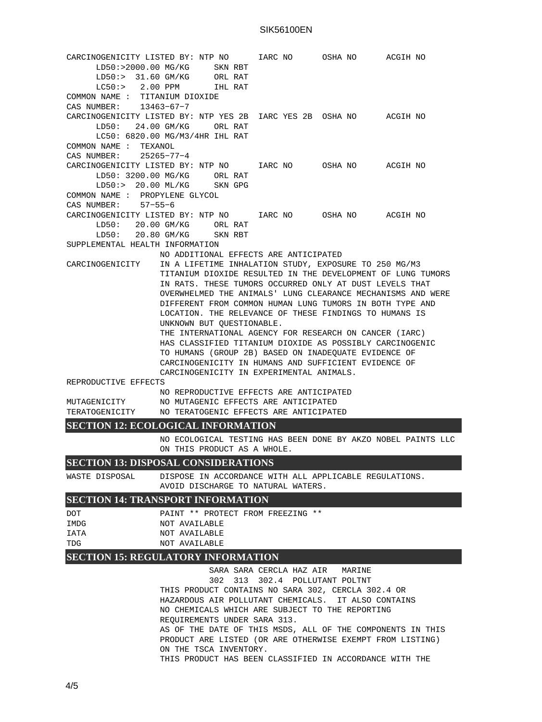## SIK56100EN

CARCINOGENICITY LISTED BY: NTP NO IARC NO OSHA NO ACGIH NO LD50:>2000.00 MG/KG SKN RBT<br>LD50:> 31.60 GM/KG ORL RAT  $LD50:> 31.60$  GM/KG LC50:> 2.00 PPM IHL RAT COMMON NAME : TITANIUM DIOXIDE CAS NUMBER: 13463−67−7 CARCINOGENICITY LISTED BY: NTP YES 2B IARC YES 2B OSHA NO ACGIH NO LD50: 24.00 GM/KG ORL RAT LC50: 6820.00 MG/M3/4HR IHL RAT COMMON NAME : TEXANOL CAS NUMBER: 25265−77−4 CARCINOGENICITY LISTED BY: NTP NO IARC NO OSHA NO ACGIH NO LD50: 3200.00 MG/KG ORL RAT LD50:> 20.00 ML/KG SKN GPG COMMON NAME : PROPYLENE GLYCOL CAS NUMBER: 57−55−6 CARCINOGENICITY LISTED BY: NTP NO IARC NO OSHA NO ACGIH NO LD50: 20.00 GM/KG ORL RAT LD50: 20.80 GM/KG SKN RBT SUPPLEMENTAL HEALTH INFORMATION NO ADDITIONAL EFFECTS ARE ANTICIPATED CARCINOGENICITY IN A LIFETIME INHALATION STUDY, EXPOSURE TO 250 MG/M3 TITANIUM DIOXIDE RESULTED IN THE DEVELOPMENT OF LUNG TUMORS IN RATS. THESE TUMORS OCCURRED ONLY AT DUST LEVELS THAT OVERWHELMED THE ANIMALS' LUNG CLEARANCE MECHANISMS AND WERE DIFFERENT FROM COMMON HUMAN LUNG TUMORS IN BOTH TYPE AND LOCATION. THE RELEVANCE OF THESE FINDINGS TO HUMANS IS UNKNOWN BUT QUESTIONABLE. THE INTERNATIONAL AGENCY FOR RESEARCH ON CANCER (IARC) HAS CLASSIFIED TITANIUM DIOXIDE AS POSSIBLY CARCINOGENIC TO HUMANS (GROUP 2B) BASED ON INADEQUATE EVIDENCE OF CARCINOGENICITY IN HUMANS AND SUFFICIENT EVIDENCE OF CARCINOGENICITY IN EXPERIMENTAL ANIMALS. REPRODUCTIVE EFFECTS NO REPRODUCTIVE EFFECTS ARE ANTICIPATED MUTAGENICITY NO MUTAGENIC EFFECTS ARE ANTICIPATED TERATOGENICITY NO TERATOGENIC EFFECTS ARE ANTICIPATED **SECTION 12: ECOLOGICAL INFORMATION** NO ECOLOGICAL TESTING HAS BEEN DONE BY AKZO NOBEL PAINTS LLC ON THIS PRODUCT AS A WHOLE. **SECTION 13: DISPOSAL CONSIDERATIONS** WASTE DISPOSAL DISPOSE IN ACCORDANCE WITH ALL APPLICABLE REGULATIONS. AVOID DISCHARGE TO NATURAL WATERS. **SECTION 14: TRANSPORT INFORMATION** DOT PAINT \*\* PROTECT FROM FREEZING \*\* IMDG NOT AVAILABLE IATA NOT AVAILABLE TDG NOT AVAILABLE **SECTION 15: REGULATORY INFORMATION**

> SARA SARA CERCLA HAZ AIR MARINE 302 313 302.4 POLLUTANT POLTNT THIS PRODUCT CONTAINS NO SARA 302, CERCLA 302.4 OR HAZARDOUS AIR POLLUTANT CHEMICALS. IT ALSO CONTAINS NO CHEMICALS WHICH ARE SUBJECT TO THE REPORTING REQUIREMENTS UNDER SARA 313. AS OF THE DATE OF THIS MSDS, ALL OF THE COMPONENTS IN THIS PRODUCT ARE LISTED (OR ARE OTHERWISE EXEMPT FROM LISTING) ON THE TSCA INVENTORY. THIS PRODUCT HAS BEEN CLASSIFIED IN ACCORDANCE WITH THE